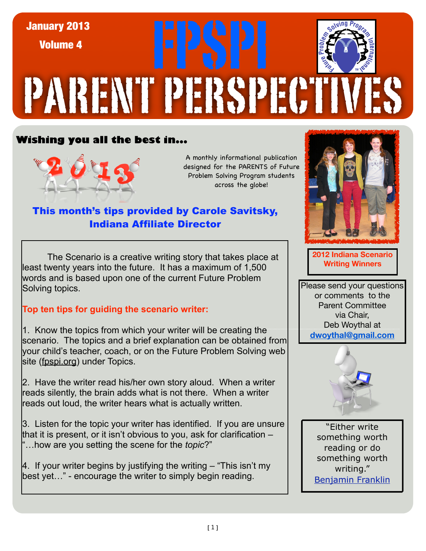

## **Wishing you all the best in...**



A monthly informational publication designed for the PARENTS of Future Problem Solving Program students across the globe!

## This month's tips provided by Carole Savitsky, Indiana Affiliate Director

The Scenario is a creative writing story that takes place at **The Scenario is a creative writing Winners**<br>Wenty vears into the future it has a maximum of 1,500 least twenty years into the future. It has a maximum of 1,500 words and is based upon one of the current Future Problem Solving topics.

## **Top ten tips for guiding the scenario writer:**

1. Know the topics from which your writer will be creating the [scenario. The topics and a brief explanation can be obtained from](file://localhost/Users/crogers2/Desktop/January%20Tips%20provided%20by%20Carole%20Savitsky.docx)  your child's teacher, coach, or on the Future Problem Solving web site (fpspi.org) under Topics.

2. Have the writer read his/her own story aloud. When a writer reads silently, the brain adds what is not there. When a writer reads out loud, the writer hears what is actually written.

3. Listen for the topic your writer has identified. If you are unsure that it is present, or it isn't obvious to you, ask for clarification – "…how are you setting the scene for the *topic*?"

4. If your writer begins by justifying the writing – "This isn't my best yet…" - encourage the writer to simply begin reading.



**2012 Indiana Scenario** 

Please send your questions or comments to the Parent Committee via Chair, Deb Woythal at **dwoythal@gmail.com**



"Either write something worth reading or do something worth writing." [Benjamin Franklin](http://www.brainyquote.com/quotes/authors/b/benjamin_franklin.html)